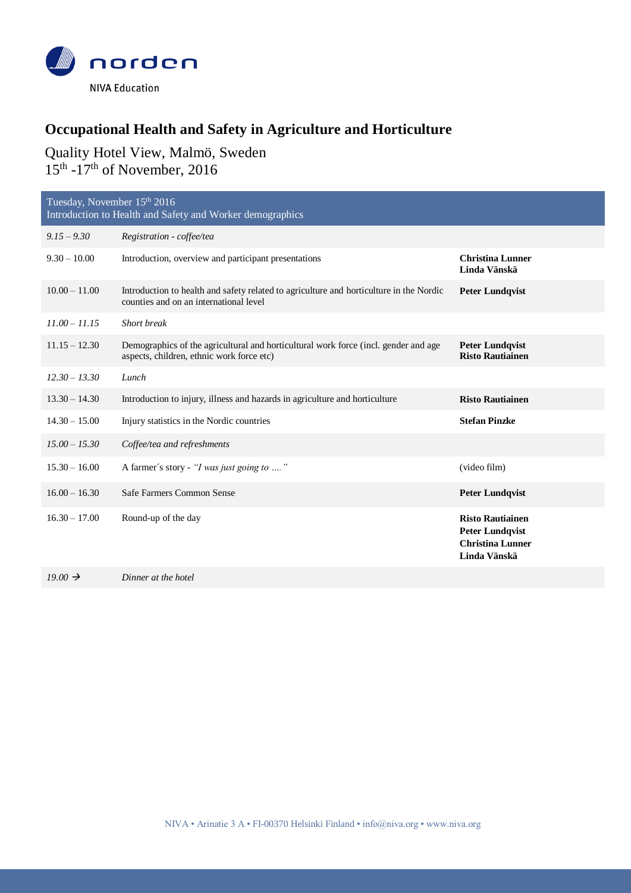

## **Occupational Health and Safety in Agriculture and Horticulture**

Quality Hotel View, Malmö, Sweden 15<sup>th</sup> -17<sup>th</sup> of November, 2016

| Tuesday, November 15th 2016<br>Introduction to Health and Safety and Worker demographics |                                                                                                                                   |                                                                                              |  |  |
|------------------------------------------------------------------------------------------|-----------------------------------------------------------------------------------------------------------------------------------|----------------------------------------------------------------------------------------------|--|--|
| $9.15 - 9.30$                                                                            | Registration - coffee/tea                                                                                                         |                                                                                              |  |  |
| $9.30 - 10.00$                                                                           | Introduction, overview and participant presentations                                                                              | <b>Christina Lunner</b><br>Linda Vänskä                                                      |  |  |
| $10.00 - 11.00$                                                                          | Introduction to health and safety related to agriculture and horticulture in the Nordic<br>counties and on an international level | <b>Peter Lundqvist</b>                                                                       |  |  |
| $11.00 - 11.15$                                                                          | Short break                                                                                                                       |                                                                                              |  |  |
| $11.15 - 12.30$                                                                          | Demographics of the agricultural and horticultural work force (incl. gender and age<br>aspects, children, ethnic work force etc)  | <b>Peter Lundqvist</b><br><b>Risto Rautiainen</b>                                            |  |  |
| $12.30 - 13.30$                                                                          | Lunch                                                                                                                             |                                                                                              |  |  |
| $13.30 - 14.30$                                                                          | Introduction to injury, illness and hazards in agriculture and horticulture                                                       | <b>Risto Rautiainen</b>                                                                      |  |  |
| $14.30 - 15.00$                                                                          | Injury statistics in the Nordic countries                                                                                         | <b>Stefan Pinzke</b>                                                                         |  |  |
| $15.00 - 15.30$                                                                          | Coffee/tea and refreshments                                                                                                       |                                                                                              |  |  |
| $15.30 - 16.00$                                                                          | A farmer's story - "I was just going to "                                                                                         | (video film)                                                                                 |  |  |
| $16.00 - 16.30$                                                                          | Safe Farmers Common Sense                                                                                                         | <b>Peter Lundqvist</b>                                                                       |  |  |
| $16.30 - 17.00$                                                                          | Round-up of the day                                                                                                               | <b>Risto Rautiainen</b><br><b>Peter Lundqvist</b><br><b>Christina Lunner</b><br>Linda Vänskä |  |  |
| $19.00 \rightarrow$                                                                      | Dinner at the hotel                                                                                                               |                                                                                              |  |  |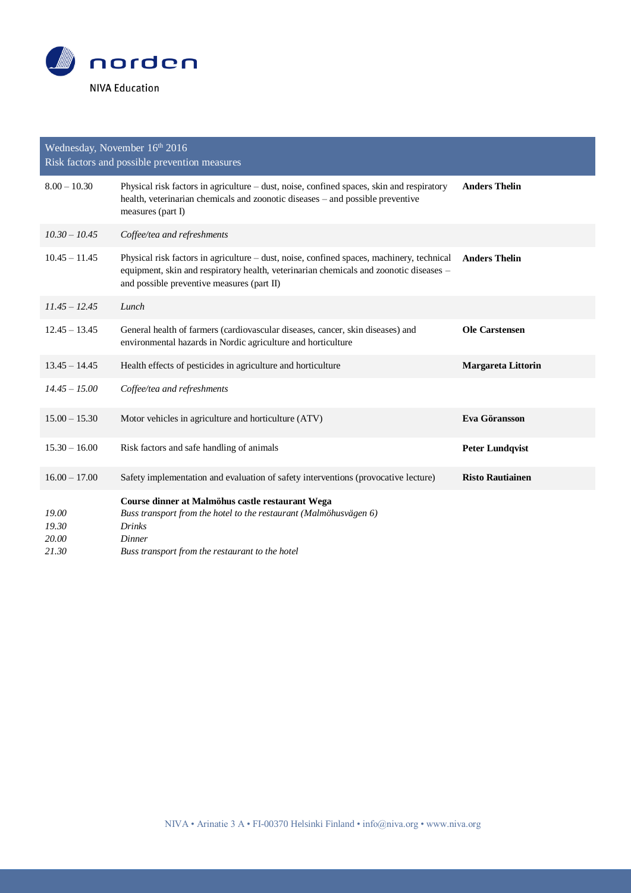

| Wednesday, November 16th 2016<br>Risk factors and possible prevention measures |                                                                                                                                                                                                                                   |                           |  |  |
|--------------------------------------------------------------------------------|-----------------------------------------------------------------------------------------------------------------------------------------------------------------------------------------------------------------------------------|---------------------------|--|--|
| $8.00 - 10.30$                                                                 | Physical risk factors in agriculture – dust, noise, confined spaces, skin and respiratory<br>health, veterinarian chemicals and zoonotic diseases – and possible preventive<br>measures (part I)                                  | <b>Anders Thelin</b>      |  |  |
| $10.30 - 10.45$                                                                | Coffee/tea and refreshments                                                                                                                                                                                                       |                           |  |  |
| $10.45 - 11.45$                                                                | Physical risk factors in agriculture – dust, noise, confined spaces, machinery, technical<br>equipment, skin and respiratory health, veterinarian chemicals and zoonotic diseases -<br>and possible preventive measures (part II) | <b>Anders Thelin</b>      |  |  |
| $11.45 - 12.45$                                                                | Lunch                                                                                                                                                                                                                             |                           |  |  |
| $12.45 - 13.45$                                                                | General health of farmers (cardiovascular diseases, cancer, skin diseases) and<br>environmental hazards in Nordic agriculture and horticulture                                                                                    | <b>Ole Carstensen</b>     |  |  |
| $13.45 - 14.45$                                                                | Health effects of pesticides in agriculture and horticulture                                                                                                                                                                      | <b>Margareta Littorin</b> |  |  |
| $14.45 - 15.00$                                                                | Coffee/tea and refreshments                                                                                                                                                                                                       |                           |  |  |
| $15.00 - 15.30$                                                                | Motor vehicles in agriculture and horticulture (ATV)                                                                                                                                                                              | Eva Göransson             |  |  |
| $15.30 - 16.00$                                                                | Risk factors and safe handling of animals                                                                                                                                                                                         | <b>Peter Lundqvist</b>    |  |  |
| $16.00 - 17.00$                                                                | Safety implementation and evaluation of safety interventions (provocative lecture)                                                                                                                                                | <b>Risto Rautiainen</b>   |  |  |
| 19.00<br>19.30<br>20.00<br>21.30                                               | Course dinner at Malmöhus castle restaurant Wega<br>Buss transport from the hotel to the restaurant (Malmöhusvägen 6)<br><b>Drinks</b><br>Dinner<br>Buss transport from the restaurant to the hotel                               |                           |  |  |